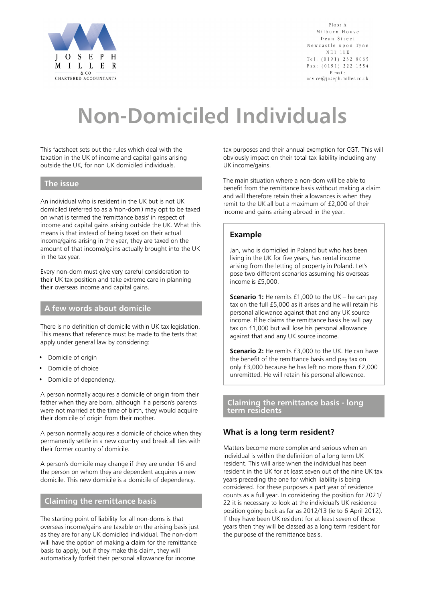

Floor A Milburn House Dean Street Newcastle upon Tyne  $N E 1 1 L E$ Tel:  $(0191)$  232 8065 Fax: (0191) 222 1554 E mail: advice@joseph-miller.co.uk

# **Non-Domiciled Individuals**

This factsheet sets out the rules which deal with the taxation in the UK of income and capital gains arising outside the UK, for non UK domiciled individuals.

## **The issue**

An individual who is resident in the UK but is not UK domiciled (referred to as a 'non-dom') may opt to be taxed on what is termed the 'remittance basis' in respect of income and capital gains arising outside the UK. What this means is that instead of being taxed on their actual income/gains arising in the year, they are taxed on the amount of that income/gains actually brought into the UK in the tax year.

Every non-dom must give very careful consideration to their UK tax position and take extreme care in planning their overseas income and capital gains.

#### **A few words about domicile**

There is no definition of domicile within UK tax legislation. This means that reference must be made to the tests that apply under general law by considering:

- Domicile of origin
- Domicile of choice
- Domicile of dependency.

A person normally acquires a domicile of origin from their father when they are born, although if a person's parents were not married at the time of birth, they would acquire their domicile of origin from their mother.

A person normally acquires a domicile of choice when they permanently settle in a new country and break all ties with their former country of domicile.

A person's domicile may change if they are under 16 and the person on whom they are dependent acquires a new domicile. This new domicile is a domicile of dependency.

# **Claiming the remittance basis**

The starting point of liability for all non-doms is that overseas income/gains are taxable on the arising basis just as they are for any UK domiciled individual. The non-dom will have the option of making a claim for the remittance basis to apply, but if they make this claim, they will automatically forfeit their personal allowance for income

tax purposes and their annual exemption for CGT. This will obviously impact on their total tax liability including any UK income/gains.

The main situation where a non-dom will be able to benefit from the remittance basis without making a claim and will therefore retain their allowances is when they remit to the UK all but a maximum of £2,000 of their income and gains arising abroad in the year.

## **Example**

Jan, who is domiciled in Poland but who has been living in the UK for five years, has rental income arising from the letting of property in Poland. Let's pose two different scenarios assuming his overseas income is £5,000.

**Scenario 1:** He remits £1,000 to the UK – he can pay tax on the full £5,000 as it arises and he will retain his personal allowance against that and any UK source income. If he claims the remittance basis he will pay tax on £1,000 but will lose his personal allowance against that and any UK source income.

**Scenario 2:** He remits £3,000 to the UK. He can have the benefit of the remittance basis and pay tax on only £3,000 because he has left no more than £2,000 unremitted. He will retain his personal allowance.

**Claiming the remittance basis - long term residents**

# **What is a long term resident?**

Matters become more complex and serious when an individual is within the definition of a long term UK resident. This will arise when the individual has been resident in the UK for at least seven out of the nine UK tax years preceding the one for which liability is being considered. For these purposes a part year of residence counts as a full year. In considering the position for 2021/ 22 it is necessary to look at the individual's UK residence position going back as far as 2012/13 (ie to 6 April 2012). If they have been UK resident for at least seven of those years then they will be classed as a long term resident for the purpose of the remittance basis.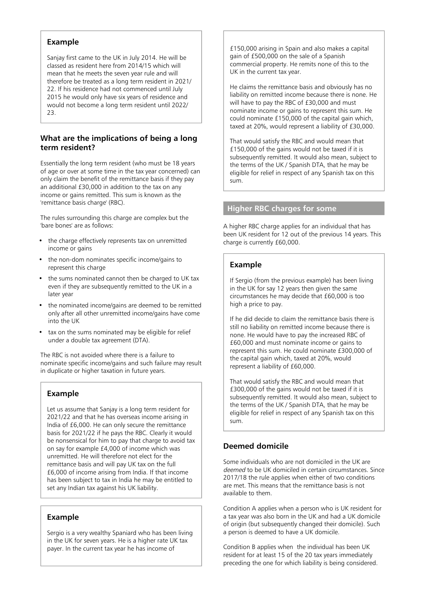# **Example**

Sanjay first came to the UK in July 2014. He will be classed as resident here from 2014/15 which will mean that he meets the seven year rule and will therefore be treated as a long term resident in 2021/ 22. If his residence had not commenced until July 2015 he would only have six years of residence and would not become a long term resident until 2022/ 23.

#### **What are the implications of being a long term resident?**

Essentially the long term resident (who must be 18 years of age or over at some time in the tax year concerned) can only claim the benefit of the remittance basis if they pay an additional £30,000 in addition to the tax on any income or gains remitted. This sum is known as the 'remittance basis charge' (RBC).

The rules surrounding this charge are complex but the 'bare bones' are as follows:

- the charge effectively represents tax on unremitted income or gains
- the non-dom nominates specific income/gains to represent this charge
- the sums nominated cannot then be charged to UK tax even if they are subsequently remitted to the UK in a later year
- the nominated income/gains are deemed to be remitted only after all other unremitted income/gains have come into the UK
- tax on the sums nominated may be eligible for relief under a double tax agreement (DTA).

The RBC is not avoided where there is a failure to nominate specific income/gains and such failure may result in duplicate or higher taxation in future years.

# **Example**

Let us assume that Sanjay is a long term resident for 2021/22 and that he has overseas income arising in India of £6,000. He can only secure the remittance basis for 2021/22 if he pays the RBC. Clearly it would be nonsensical for him to pay that charge to avoid tax on say for example £4,000 of income which was unremitted. He will therefore not elect for the remittance basis and will pay UK tax on the full £6,000 of income arising from India. If that income has been subject to tax in India he may be entitled to set any Indian tax against his UK liability.

#### **Example**

Sergio is a very wealthy Spaniard who has been living in the UK for seven years. He is a higher rate UK tax payer. In the current tax year he has income of

£150,000 arising in Spain and also makes a capital gain of £500,000 on the sale of a Spanish commercial property. He remits none of this to the UK in the current tax year.

He claims the remittance basis and obviously has no liability on remitted income because there is none. He will have to pay the RBC of £30,000 and must nominate income or gains to represent this sum. He could nominate £150,000 of the capital gain which, taxed at 20%, would represent a liability of £30,000.

That would satisfy the RBC and would mean that £150,000 of the gains would not be taxed if it is subsequently remitted. It would also mean, subject to the terms of the UK / Spanish DTA, that he may be eligible for relief in respect of any Spanish tax on this sum.

#### **Higher RBC charges for some**

A higher RBC charge applies for an individual that has been UK resident for 12 out of the previous 14 years. This charge is currently £60,000.

## **Example**

If Sergio (from the previous example) has been living in the UK for say 12 years then given the same circumstances he may decide that £60,000 is too high a price to pay.

If he did decide to claim the remittance basis there is still no liability on remitted income because there is none. He would have to pay the increased RBC of £60,000 and must nominate income or gains to represent this sum. He could nominate £300,000 of the capital gain which, taxed at 20%, would represent a liability of £60,000.

That would satisfy the RBC and would mean that £300,000 of the gains would not be taxed if it is subsequently remitted. It would also mean, subject to the terms of the UK / Spanish DTA, that he may be eligible for relief in respect of any Spanish tax on this sum.

## **Deemed domicile**

Some individuals who are not domiciled in the UK are deemed to be UK domiciled in certain circumstances. Since 2017/18 the rule applies when either of two conditions are met. This means that the remittance basis is not available to them.

Condition A applies when a person who is UK resident for a tax year was also born in the UK and had a UK domicile of origin (but subsequently changed their domicile). Such a person is deemed to have a UK domicile.

Condition B applies when the individual has been UK resident for at least 15 of the 20 tax years immediately preceding the one for which liability is being considered.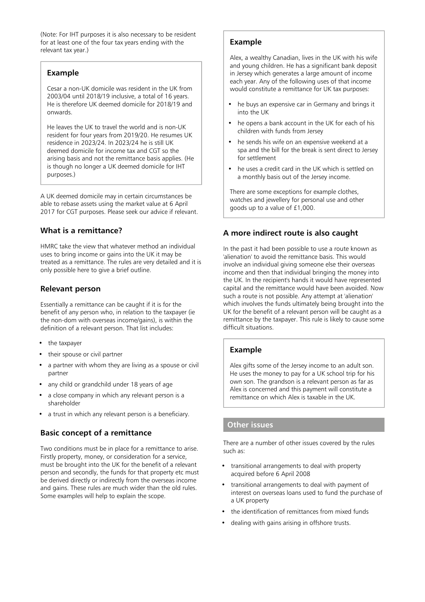(Note: For IHT purposes it is also necessary to be resident for at least one of the four tax years ending with the relevant tax year.)

#### **Example**

Cesar a non-UK domicile was resident in the UK from 2003/04 until 2018/19 inclusive, a total of 16 years. He is therefore UK deemed domicile for 2018/19 and onwards.

He leaves the UK to travel the world and is non-UK resident for four years from 2019/20. He resumes UK residence in 2023/24. In 2023/24 he is still UK deemed domicile for income tax and CGT so the arising basis and not the remittance basis applies. (He is though no longer a UK deemed domicile for IHT purposes.)

A UK deemed domicile may in certain circumstances be able to rebase assets using the market value at 6 April 2017 for CGT purposes. Please seek our advice if relevant.

# **What is a remittance?**

HMRC take the view that whatever method an individual uses to bring income or gains into the UK it may be treated as a remittance. The rules are very detailed and it is only possible here to give a brief outline.

## **Relevant person**

Essentially a remittance can be caught if it is for the benefit of any person who, in relation to the taxpayer (ie the non-dom with overseas income/gains), is within the definition of a relevant person. That list includes:

- the taxpayer
- their spouse or civil partner
- a partner with whom they are living as a spouse or civil partner
- any child or grandchild under 18 years of age
- a close company in which any relevant person is a shareholder
- a trust in which any relevant person is a beneficiary.

# **Basic concept of a remittance**

Two conditions must be in place for a remittance to arise. Firstly property, money, or consideration for a service, must be brought into the UK for the benefit of a relevant person and secondly, the funds for that property etc must be derived directly or indirectly from the overseas income and gains. These rules are much wider than the old rules. Some examples will help to explain the scope.

# **Example**

Alex, a wealthy Canadian, lives in the UK with his wife and young children. He has a significant bank deposit in Jersey which generates a large amount of income each year. Any of the following uses of that income would constitute a remittance for UK tax purposes:

- he buys an expensive car in Germany and brings it into the UK
- he opens a bank account in the UK for each of his children with funds from Jersey
- he sends his wife on an expensive weekend at a spa and the bill for the break is sent direct to Jersey for settlement
- he uses a credit card in the UK which is settled on a monthly basis out of the Jersey income.

There are some exceptions for example clothes, watches and jewellery for personal use and other goods up to a value of £1,000.

# **A more indirect route is also caught**

In the past it had been possible to use a route known as 'alienation' to avoid the remittance basis. This would involve an individual giving someone else their overseas income and then that individual bringing the money into the UK. In the recipient's hands it would have represented capital and the remittance would have been avoided. Now such a route is not possible. Any attempt at 'alienation' which involves the funds ultimately being brought into the UK for the benefit of a relevant person will be caught as a remittance by the taxpayer. This rule is likely to cause some difficult situations.

# **Example**

Alex gifts some of the Jersey income to an adult son. He uses the money to pay for a UK school trip for his own son. The grandson is a relevant person as far as Alex is concerned and this payment will constitute a remittance on which Alex is taxable in the UK.

#### **Other issues**

There are a number of other issues covered by the rules such as:

- transitional arrangements to deal with property acquired before 6 April 2008
- transitional arrangements to deal with payment of interest on overseas loans used to fund the purchase of a UK property
- the identification of remittances from mixed funds
- dealing with gains arising in offshore trusts.